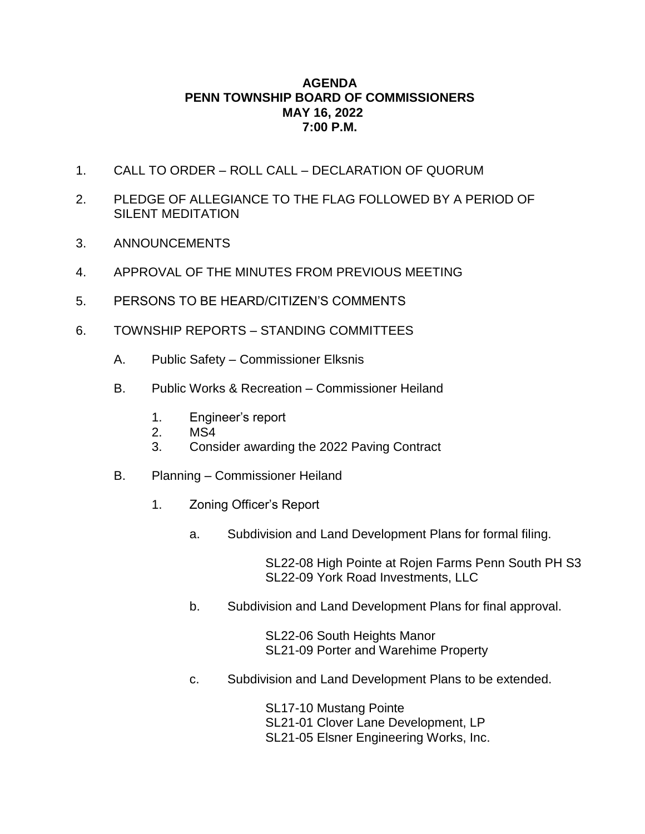## **AGENDA PENN TOWNSHIP BOARD OF COMMISSIONERS MAY 16, 2022 7:00 P.M.**

- 1. CALL TO ORDER ROLL CALL DECLARATION OF QUORUM
- 2. PLEDGE OF ALLEGIANCE TO THE FLAG FOLLOWED BY A PERIOD OF SILENT MEDITATION
- 3. ANNOUNCEMENTS
- 4. APPROVAL OF THE MINUTES FROM PREVIOUS MEETING
- 5. PERSONS TO BE HEARD/CITIZEN'S COMMENTS
- 6. TOWNSHIP REPORTS STANDING COMMITTEES
	- A. Public Safety Commissioner Elksnis
	- B. Public Works & Recreation Commissioner Heiland
		- 1. Engineer's report
		- 2. MS4
		- 3. Consider awarding the 2022 Paving Contract
	- B. Planning Commissioner Heiland
		- 1. Zoning Officer's Report
			- a. Subdivision and Land Development Plans for formal filing.

SL22-08 High Pointe at Rojen Farms Penn South PH S3 SL22-09 York Road Investments, LLC

b. Subdivision and Land Development Plans for final approval.

SL22-06 South Heights Manor SL21-09 Porter and Warehime Property

c. Subdivision and Land Development Plans to be extended.

SL17-10 Mustang Pointe SL21-01 Clover Lane Development, LP SL21-05 Elsner Engineering Works, Inc.